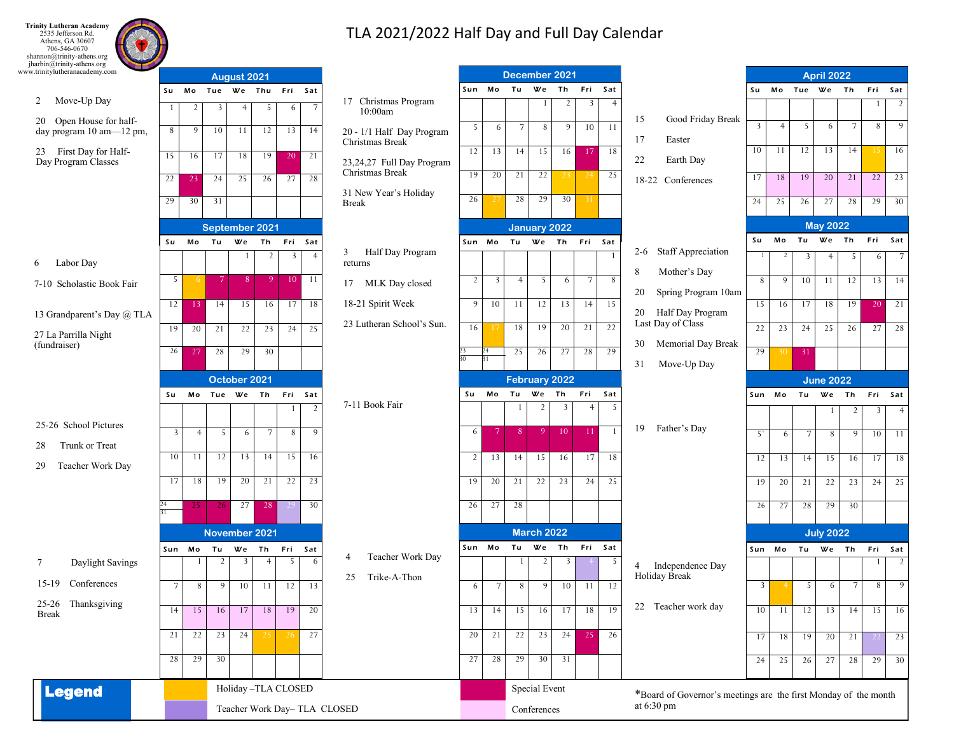**Trinity Lutheran Academy**<br>
2535 Jefferson Rd.<br>
Athens, GA 30607<br>
706-546-0670<br>
shannon@trinity-athens.org<br>
jharbin@trinity-athens.org www.trinitylutheranacademy.com

## TLA 2021/2022 Half Day and Full Day Calendar

| jharbin@trinity-athens.org<br>vw.trinitylutheranacademy.com | August 2021        |                 |                |                |                      |                 |                       |                                              | December 2021  |                |                |                     |                   |                |                       |                                                                 | <b>April 2022</b> |                      |                          |                  |                |     |                 |
|-------------------------------------------------------------|--------------------|-----------------|----------------|----------------|----------------------|-----------------|-----------------------|----------------------------------------------|----------------|----------------|----------------|---------------------|-------------------|----------------|-----------------------|-----------------------------------------------------------------|-------------------|----------------------|--------------------------|------------------|----------------|-----|-----------------|
|                                                             | Su Mo              |                 | Tue We Thu     |                |                      | Fri             | Sat                   |                                              |                | Sun Mo Tu      |                | We                  | Th                | Fri            | Sat                   |                                                                 | Su                |                      |                          | Mo Tue We Th     |                | Fri | Sat             |
| 2 Move-Up Day                                               |                    | $\overline{2}$  | 3              | $\overline{4}$ | 5                    | 6               | $\overline{7}$        | 17 Christmas Program<br>10:00am              |                |                |                |                     | $\overline{2}$    | $\overline{3}$ | $\overline{4}$        |                                                                 |                   |                      |                          |                  |                |     | $\overline{2}$  |
| 20 Open House for half-<br>day program 10 am-12 pm,         | 8                  | 9               | 10             | 11             | 12                   | 13              | 14                    | 20 - 1/1 Half Day Program<br>Christmas Break | 5              | 6              | 7              | 8                   | 9 <sup>1</sup>    | 10             | -11                   | Good Friday Break<br>15<br>17<br>Easter                         | $\overline{3}$    | $\overline{4}$       | 5                        | 6                | $\overline{7}$ | 8   | 9               |
| First Day for Half-<br>23<br>Day Program Classes            | 15                 | 16              | 17             | 18             | 19                   | 20              | 21                    | 23,24,27 Full Day Program                    | 12             | 13             | 14             | 15                  | 16 <sup>1</sup>   | -17            | 18                    | 22<br>Earth Day                                                 | 10                | -11                  | 12                       | 13               | 14             |     | 16              |
|                                                             | 22                 | 23              | 24             | 25             | 26                   | 27              | 28                    | Christmas Break                              | 19             | 20             | 21             | 22                  | $23 \mid 24$      |                | 25                    | 18-22 Conferences                                               | 17                | 18                   | 19                       | 20               | 21             | 22  | 23              |
|                                                             | 29                 | 30              | 31             |                |                      |                 |                       | 31 New Year's Holiday<br><b>Break</b>        | 26             |                | 28             | 29                  | 30                | 31             |                       |                                                                 | 24                | 25                   | 26                       | 27               | 28             | 29  | 30              |
|                                                             |                    |                 |                |                |                      |                 |                       |                                              |                |                |                |                     |                   |                |                       |                                                                 |                   |                      |                          |                  |                |     |                 |
|                                                             |                    | September 2021  |                |                |                      |                 |                       |                                              |                |                |                | <b>January 2022</b> |                   |                |                       |                                                                 |                   |                      | <b>May 2022</b><br>We Th |                  | Fri<br>Sat     |     |                 |
|                                                             | Su                 | Mo              | Tu             | We             | Th<br>$\overline{2}$ | Fri<br>3        | Sat<br>$\overline{4}$ | Half Day Program<br>3                        | Sun Mo         |                | Tu             | We Th               |                   | Fri            | Sat<br>$\overline{1}$ | 2-6 Staff Appreciation                                          | Su<br>-1          | Mo<br>$\overline{2}$ | Tu                       |                  |                |     |                 |
| Labor Day<br>6                                              |                    |                 |                | -1             |                      |                 |                       | returns                                      |                |                |                |                     |                   |                |                       | 8<br>Mother's Day                                               |                   |                      | $\overline{3}$           | $\overline{4}$   | 5              | 6   | $7\phantom{.0}$ |
| 7-10 Scholastic Book Fair                                   | 5                  | -6              | $\overline{7}$ | 8 <sup>1</sup> | 9 <sup>1</sup>       | 10 <sup>°</sup> | -11                   | 17 MLK Day closed                            | $\overline{2}$ | $\overline{3}$ | $\overline{4}$ | 5 <sup>7</sup>      | 6                 | $\overline{7}$ | 8                     | Spring Program 10am<br>20                                       | 8                 | 9                    | 10                       | 11               | 12             | 13  | 14              |
|                                                             | 12                 | 13 <sup>°</sup> | 14             | 15             | 16                   | 17              | 18                    | 18-21 Spirit Week                            | 9              | 10             | -11            | 12                  | 13                | 14             | 15                    |                                                                 | $15-1$            | 16                   | 17                       | 18               | 19             |     | 20 21           |
| 13 Grandparent's Day @ TLA                                  | 19                 | 20              | 21             | 22             | 23                   | 24              | 25                    | 23 Lutheran School's Sun.                    | 16             |                | 18             | 19                  | 20                | 21             | 22                    | Half Day Program<br>20<br>Last Day of Class                     | 22                | 23                   | 24                       | 25               | 26             | 27  | 28              |
| 27 La Parrilla Night<br>(fundraiser)                        |                    |                 |                |                |                      |                 |                       |                                              |                |                |                |                     |                   |                |                       | Memorial Day Break<br>30                                        |                   |                      |                          |                  |                |     |                 |
|                                                             | 26                 | 27              | 28             | 29             | 30                   |                 |                       |                                              | 23<br>30       | 24<br>31       | 25             | 26                  | 27                | 28             | 29                    | Move-Up Day<br>31                                               | 29                | 30 <sup>1</sup>      | 31                       |                  |                |     |                 |
|                                                             | October 2021       |                 |                |                |                      |                 |                       |                                              | February 2022  |                |                |                     |                   |                |                       |                                                                 | <b>June 2022</b>  |                      |                          |                  |                |     |                 |
|                                                             | Su                 | Mo              | Tue We Th      |                |                      | Fri Sat         |                       |                                              | Su             | Мo             | Tu             | We                  | Th                | Fri            | Sat                   |                                                                 | Sun Mo            |                      | Tu                       | We Th            |                | Fri | Sat             |
|                                                             |                    |                 |                |                |                      | $\overline{1}$  | 2                     | 7-11 Book Fair                               |                |                |                | $\overline{2}$      | 3                 | $\overline{4}$ | $\overline{5}$        |                                                                 |                   |                      |                          | -1               | $\overline{2}$ | 3   | $^{4}$          |
| 25-26 School Pictures                                       | 3                  | $\overline{4}$  | 5              | 6              | $\overline{7}$       | 8               | 9                     |                                              | 6              | $\overline{7}$ | -8             | -9                  | 10                | -11            |                       | 19<br>Father's Day                                              | $5^{\circ}$       | 6                    | $\overline{7}$           | 8                | 9              | 10  | 11              |
| Trunk or Treat<br>28                                        | 10                 | 11              | 12             | 13             | 14                   | 15              | 16                    |                                              |                |                |                | 15                  |                   |                | 18                    |                                                                 |                   |                      |                          |                  |                |     |                 |
| Teacher Work Day<br>29                                      |                    |                 |                |                |                      |                 |                       |                                              | $\overline{2}$ | 13             | 14             |                     | 16                | 17             |                       |                                                                 | 12                | 13                   | 14                       | 15               | 16             | 17  | -18             |
|                                                             | 17                 | 18              | 19             | 20             | 21                   | 22              | 23                    |                                              | 19             | 20             | 21             | 22                  | 23                | 24             | 25                    |                                                                 | 19                | 20                   | 21                       | 22               | 23             | 24  | 25              |
|                                                             |                    | 25              | -26            | 27             | 28                   |                 | 30                    |                                              | 26             | 27             | 28             |                     |                   |                |                       |                                                                 | 26                | 27                   | 28                       | 29               | 30             |     |                 |
|                                                             |                    | November 2021   |                |                |                      |                 |                       |                                              |                |                |                |                     | <b>March 2022</b> |                |                       |                                                                 |                   |                      |                          | <b>July 2022</b> |                |     |                 |
|                                                             | Sun Mo             |                 | Tu             | We             | Th                   | Fri             | Sat                   |                                              |                | Sun Mo         | Tu             | We                  | Th                | Fri            | Sat                   |                                                                 | Sun Mo            |                      |                          | Tu We Th         |                | Fri | Sat             |
| Daylight Savings<br>7                                       |                    | 1               | $\overline{2}$ | $\overline{3}$ | $^{4}$               | 5               | 6                     | Teacher Work Day<br>4                        |                |                |                | $\overline{2}$      | 3                 |                | -5                    | Independence Day<br>4                                           |                   |                      |                          |                  |                | 1   | $\overline{2}$  |
| Conferences<br>15-19                                        | $\overline{7}$     | 8               | 9              | 10             | -11                  | 12              | 13                    | 25<br>Trike-A-Thon                           | 6              | $\overline{7}$ | 8              | 9                   | 10                | 11             | 12                    | Holiday Break                                                   | $\overline{3}$    |                      | 5                        | 6                | 7              | 8   | 9               |
| 25-26 Thanksgiving<br><b>Break</b>                          | 14                 | 15              | 16             | 17             | 18                   | 19              | 20                    |                                              | 13             | 14             | 15             | 16                  | 17                | 18             | 19                    | 22 Teacher work day                                             | 10                | 11                   | 12                       | 13               | 14             | 15  | 16              |
|                                                             | 21                 | 22              | 23             | 24             | 25                   | 26              | 27                    |                                              | 20             | 21             | 22             | 23                  | 24                | 25             | 26                    |                                                                 | 17 <sup>1</sup>   | 18                   | 19                       | 20               | 21             |     | 23              |
|                                                             | 28                 | 29              | 30             |                |                      |                 |                       |                                              | 27             | 28             | 29             | $30 \ 31$           |                   |                |                       |                                                                 | 24                | 25                   | 26                       | 27               | 28             | 29  | $-30$           |
|                                                             |                    |                 |                |                |                      |                 |                       |                                              |                |                |                |                     |                   |                |                       |                                                                 |                   |                      |                          |                  |                |     |                 |
| <b>Legend</b>                                               | Holiday-TLA CLOSED |                 |                |                |                      |                 |                       |                                              |                |                |                | Special Event       |                   |                |                       | *Board of Governor's meetings are the first Monday of the month |                   |                      |                          |                  |                |     |                 |
|                                                             |                    |                 |                |                |                      |                 |                       | Teacher Work Day-TLA CLOSED                  | Conferences    |                |                |                     |                   |                |                       | at $6:30 \text{ pm}$                                            |                   |                      |                          |                  |                |     |                 |